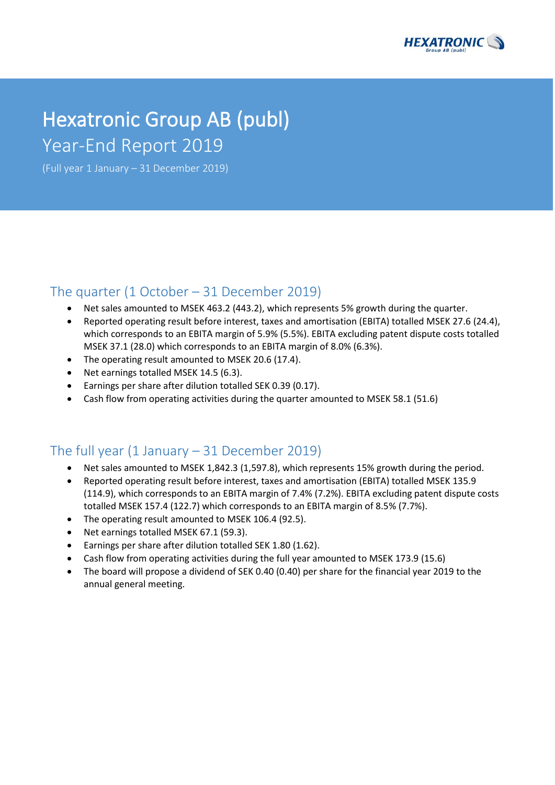

# Hexatronic Group AB (publ) Year-End Report 2019

(Full year 1 January – 31 December 2019)

### The quarter (1 October – 31 December 2019)

- Net sales amounted to MSEK 463.2 (443.2), which represents 5% growth during the quarter.
- Reported operating result before interest, taxes and amortisation (EBITA) totalled MSEK 27.6 (24.4), which corresponds to an EBITA margin of 5.9% (5.5%). EBITA excluding patent dispute costs totalled MSEK 37.1 (28.0) which corresponds to an EBITA margin of 8.0% (6.3%).
- The operating result amounted to MSEK 20.6 (17.4).
- Net earnings totalled MSEK 14.5 (6.3).
- Earnings per share after dilution totalled SEK 0.39 (0.17).
- Cash flow from operating activities during the quarter amounted to MSEK 58.1 (51.6)

## The full year  $(1 \text{ January} - 31 \text{ December } 2019)$

- Net sales amounted to MSEK 1,842.3 (1,597.8), which represents 15% growth during the period.
- Reported operating result before interest, taxes and amortisation (EBITA) totalled MSEK 135.9 (114.9), which corresponds to an EBITA margin of 7.4% (7.2%). EBITA excluding patent dispute costs totalled MSEK 157.4 (122.7) which corresponds to an EBITA margin of 8.5% (7.7%).
- The operating result amounted to MSEK 106.4 (92.5).
- Net earnings totalled MSEK 67.1 (59.3).
- Earnings per share after dilution totalled SEK 1.80 (1.62).
- Cash flow from operating activities during the full year amounted to MSEK 173.9 (15.6)
- The board will propose a dividend of SEK 0.40 (0.40) per share for the financial year 2019 to the annual general meeting.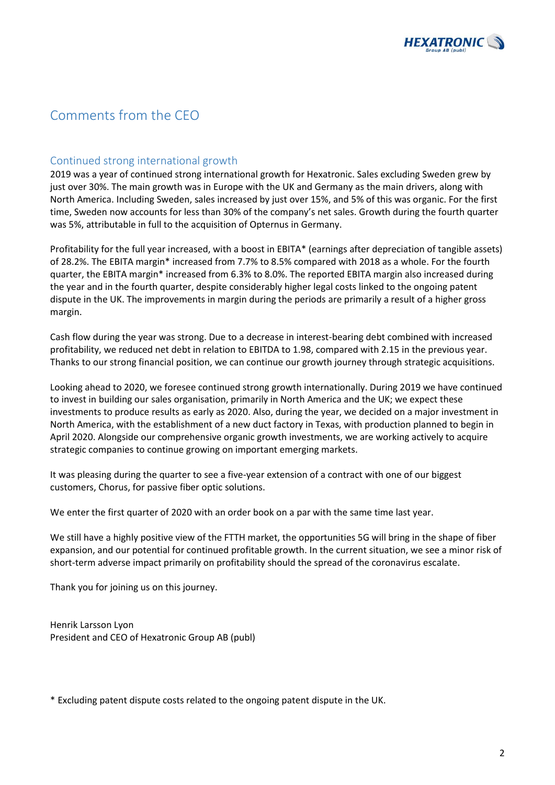

## Comments from the CEO

### Continued strong international growth

2019 was a year of continued strong international growth for Hexatronic. Sales excluding Sweden grew by just over 30%. The main growth was in Europe with the UK and Germany as the main drivers, along with North America. Including Sweden, sales increased by just over 15%, and 5% of this was organic. For the first time, Sweden now accounts for less than 30% of the company's net sales. Growth during the fourth quarter was 5%, attributable in full to the acquisition of Opternus in Germany.

Profitability for the full year increased, with a boost in EBITA\* (earnings after depreciation of tangible assets) of 28.2%. The EBITA margin\* increased from 7.7% to 8.5% compared with 2018 as a whole. For the fourth quarter, the EBITA margin\* increased from 6.3% to 8.0%. The reported EBITA margin also increased during the year and in the fourth quarter, despite considerably higher legal costs linked to the ongoing patent dispute in the UK. The improvements in margin during the periods are primarily a result of a higher gross margin.

Cash flow during the year was strong. Due to a decrease in interest-bearing debt combined with increased profitability, we reduced net debt in relation to EBITDA to 1.98, compared with 2.15 in the previous year. Thanks to our strong financial position, we can continue our growth journey through strategic acquisitions.

Looking ahead to 2020, we foresee continued strong growth internationally. During 2019 we have continued to invest in building our sales organisation, primarily in North America and the UK; we expect these investments to produce results as early as 2020. Also, during the year, we decided on a major investment in North America, with the establishment of a new duct factory in Texas, with production planned to begin in April 2020. Alongside our comprehensive organic growth investments, we are working actively to acquire strategic companies to continue growing on important emerging markets.

It was pleasing during the quarter to see a five-year extension of a contract with one of our biggest customers, Chorus, for passive fiber optic solutions.

We enter the first quarter of 2020 with an order book on a par with the same time last year.

We still have a highly positive view of the FTTH market, the opportunities 5G will bring in the shape of fiber expansion, and our potential for continued profitable growth. In the current situation, we see a minor risk of short-term adverse impact primarily on profitability should the spread of the coronavirus escalate.

Thank you for joining us on this journey.

Henrik Larsson Lyon President and CEO of Hexatronic Group AB (publ)

\* Excluding patent dispute costs related to the ongoing patent dispute in the UK.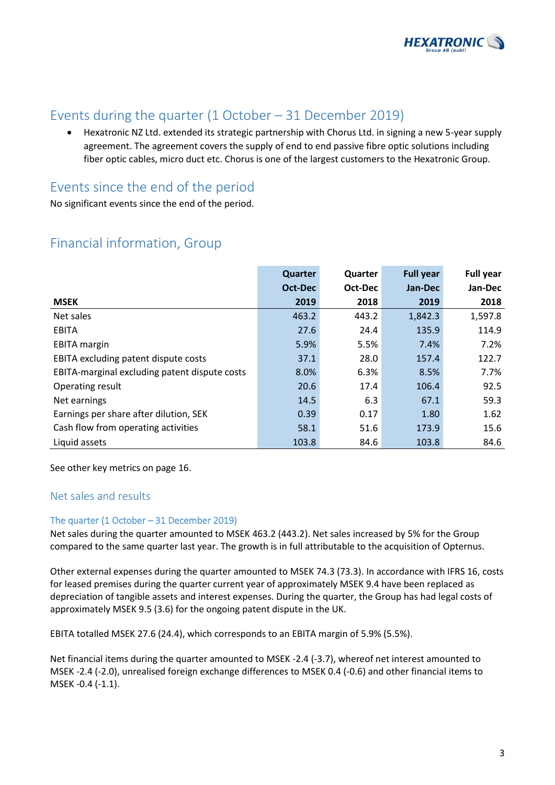

## Events during the quarter (1 October – 31 December 2019)

• Hexatronic NZ Ltd. extended its strategic partnership with Chorus Ltd. in signing a new 5-year supply agreement. The agreement covers the supply of end to end passive fibre optic solutions including fiber optic cables, micro duct etc. Chorus is one of the largest customers to the Hexatronic Group.

## Events since the end of the period

No significant events since the end of the period.

## Financial information, Group

|                                               | Quarter | <b>Quarter</b> | <b>Full year</b> | <b>Full year</b> |
|-----------------------------------------------|---------|----------------|------------------|------------------|
|                                               | Oct-Dec | Oct-Dec        | Jan-Dec          | Jan-Dec          |
| <b>MSEK</b>                                   | 2019    | 2018           | 2019             | 2018             |
| Net sales                                     | 463.2   | 443.2          | 1,842.3          | 1,597.8          |
| <b>EBITA</b>                                  | 27.6    | 24.4           | 135.9            | 114.9            |
| <b>EBITA</b> margin                           | 5.9%    | 5.5%           | 7.4%             | 7.2%             |
| EBITA excluding patent dispute costs          | 37.1    | 28.0           | 157.4            | 122.7            |
| EBITA-marginal excluding patent dispute costs | 8.0%    | 6.3%           | 8.5%             | 7.7%             |
| Operating result                              | 20.6    | 17.4           | 106.4            | 92.5             |
| Net earnings                                  | 14.5    | 6.3            | 67.1             | 59.3             |
| Earnings per share after dilution, SEK        | 0.39    | 0.17           | 1.80             | 1.62             |
| Cash flow from operating activities           | 58.1    | 51.6           | 173.9            | 15.6             |
| Liquid assets                                 | 103.8   | 84.6           | 103.8            | 84.6             |

See other key metrics on page 16.

### Net sales and results

### The quarter (1 October – 31 December 2019)

Net sales during the quarter amounted to MSEK 463.2 (443.2). Net sales increased by 5% for the Group compared to the same quarter last year. The growth is in full attributable to the acquisition of Opternus.

Other external expenses during the quarter amounted to MSEK 74.3 (73.3). In accordance with IFRS 16, costs for leased premises during the quarter current year of approximately MSEK 9.4 have been replaced as depreciation of tangible assets and interest expenses. During the quarter, the Group has had legal costs of approximately MSEK 9.5 (3.6) for the ongoing patent dispute in the UK.

EBITA totalled MSEK 27.6 (24.4), which corresponds to an EBITA margin of 5.9% (5.5%).

Net financial items during the quarter amounted to MSEK -2.4 (-3.7), whereof net interest amounted to MSEK -2.4 (-2.0), unrealised foreign exchange differences to MSEK 0.4 (-0.6) and other financial items to MSEK -0.4 (-1.1).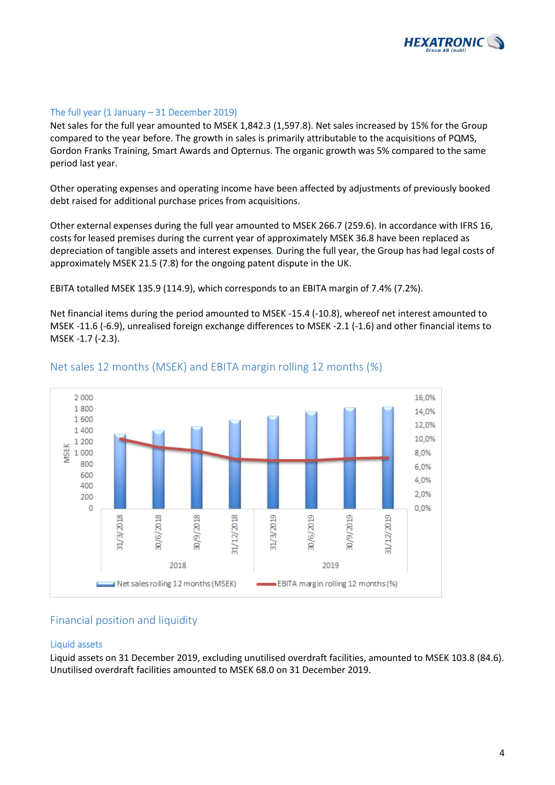

### The full year  $(1 \text{ January} - 31 \text{ December } 2019)$

Net sales for the full year amounted to MSEK 1,842.3 (1,597.8). Net sales increased by 15% for the Group compared to the year before. The growth in sales is primarily attributable to the acquisitions of PQMS, Gordon Franks Training, Smart Awards and Opternus. The organic growth was 5% compared to the same period last year.

Other operating expenses and operating income have been affected by adjustments of previously booked debt raised for additional purchase prices from acquisitions.

Other external expenses during the full year amounted to MSEK 266.7 (259.6). In accordance with IFRS 16, costs for leased premises during the current year of approximately MSEK 36.8 have been replaced as depreciation of tangible assets and interest expenses. During the full year, the Group has had legal costs of approximately MSEK 21.5 (7.8) for the ongoing patent dispute in the UK.

EBITA totalled MSEK 135.9 (114.9), which corresponds to an EBITA margin of 7.4% (7.2%).

Net financial items during the period amounted to MSEK -15.4 (-10.8), whereof net interest amounted to MSEK -11.6 (-6.9), unrealised foreign exchange differences to MSEK -2.1 (-1.6) and other financial items to MSEK -1.7 (-2.3).



### Net sales 12 months (MSEK) and EBITA margin rolling 12 months (%)

### Financial position and liquidity

#### Liquid assets

Liquid assets on 31 December 2019, excluding unutilised overdraft facilities, amounted to MSEK 103.8 (84.6). Unutilised overdraft facilities amounted to MSEK 68.0 on 31 December 2019.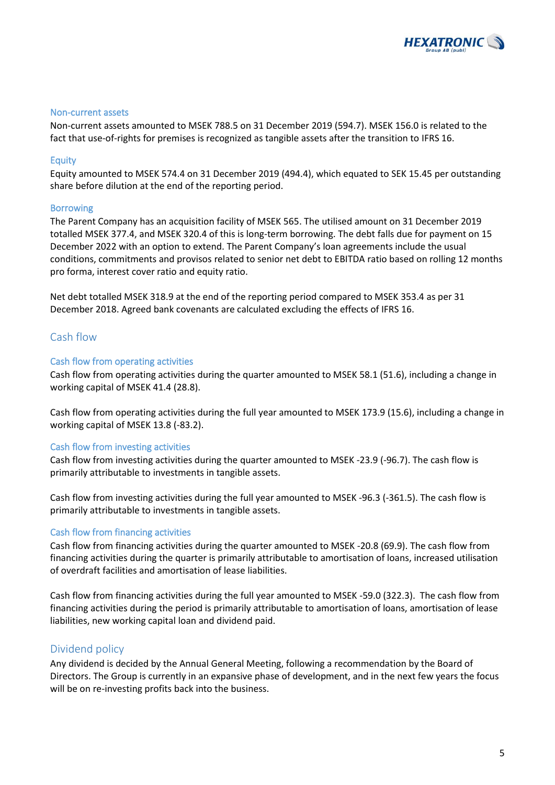

### Non-current assets

Non-current assets amounted to MSEK 788.5 on 31 December 2019 (594.7). MSEK 156.0 is related to the fact that use-of-rights for premises is recognized as tangible assets after the transition to IFRS 16.

#### Equity

Equity amounted to MSEK 574.4 on 31 December 2019 (494.4), which equated to SEK 15.45 per outstanding share before dilution at the end of the reporting period.

#### Borrowing

The Parent Company has an acquisition facility of MSEK 565. The utilised amount on 31 December 2019 totalled MSEK 377.4, and MSEK 320.4 of this is long-term borrowing. The debt falls due for payment on 15 December 2022 with an option to extend. The Parent Company's loan agreements include the usual conditions, commitments and provisos related to senior net debt to EBITDA ratio based on rolling 12 months pro forma, interest cover ratio and equity ratio.

Net debt totalled MSEK 318.9 at the end of the reporting period compared to MSEK 353.4 as per 31 December 2018. Agreed bank covenants are calculated excluding the effects of IFRS 16.

### Cash flow

#### Cash flow from operating activities

Cash flow from operating activities during the quarter amounted to MSEK 58.1 (51.6), including a change in working capital of MSEK 41.4 (28.8).

Cash flow from operating activities during the full year amounted to MSEK 173.9 (15.6), including a change in working capital of MSEK 13.8 (-83.2).

#### Cash flow from investing activities

Cash flow from investing activities during the quarter amounted to MSEK -23.9 (-96.7). The cash flow is primarily attributable to investments in tangible assets.

Cash flow from investing activities during the full year amounted to MSEK -96.3 (-361.5). The cash flow is primarily attributable to investments in tangible assets.

#### Cash flow from financing activities

Cash flow from financing activities during the quarter amounted to MSEK -20.8 (69.9). The cash flow from financing activities during the quarter is primarily attributable to amortisation of loans, increased utilisation of overdraft facilities and amortisation of lease liabilities.

Cash flow from financing activities during the full year amounted to MSEK -59.0 (322.3). The cash flow from financing activities during the period is primarily attributable to amortisation of loans, amortisation of lease liabilities, new working capital loan and dividend paid.

### Dividend policy

Any dividend is decided by the Annual General Meeting, following a recommendation by the Board of Directors. The Group is currently in an expansive phase of development, and in the next few years the focus will be on re-investing profits back into the business.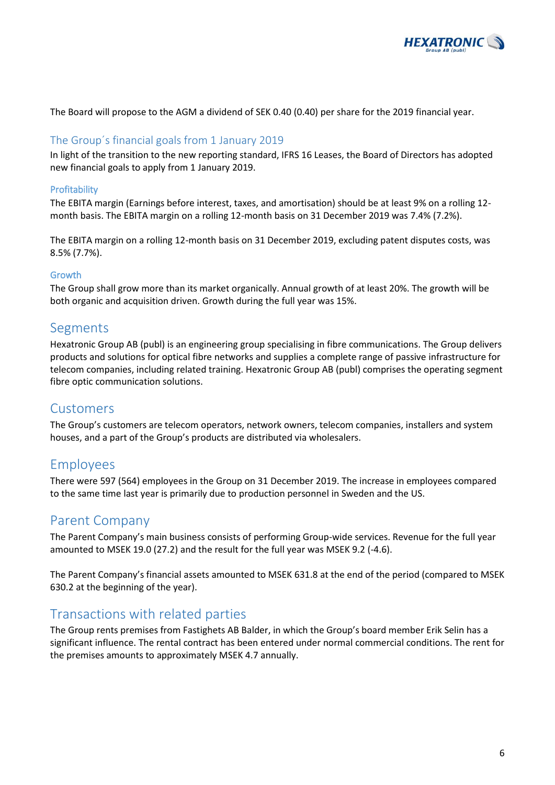

The Board will propose to the AGM a dividend of SEK 0.40 (0.40) per share for the 2019 financial year.

### The Group´s financial goals from 1 January 2019

In light of the transition to the new reporting standard, IFRS 16 Leases, the Board of Directors has adopted new financial goals to apply from 1 January 2019.

### Profitability

The EBITA margin (Earnings before interest, taxes, and amortisation) should be at least 9% on a rolling 12 month basis. The EBITA margin on a rolling 12-month basis on 31 December 2019 was 7.4% (7.2%).

The EBITA margin on a rolling 12-month basis on 31 December 2019, excluding patent disputes costs, was 8.5% (7.7%).

#### Growth

The Group shall grow more than its market organically. Annual growth of at least 20%. The growth will be both organic and acquisition driven. Growth during the full year was 15%.

### Segments

Hexatronic Group AB (publ) is an engineering group specialising in fibre communications. The Group delivers products and solutions for optical fibre networks and supplies a complete range of passive infrastructure for telecom companies, including related training. Hexatronic Group AB (publ) comprises the operating segment fibre optic communication solutions.

### Customers

The Group's customers are telecom operators, network owners, telecom companies, installers and system houses, and a part of the Group's products are distributed via wholesalers.

### Employees

There were 597 (564) employees in the Group on 31 December 2019. The increase in employees compared to the same time last year is primarily due to production personnel in Sweden and the US.

### Parent Company

The Parent Company's main business consists of performing Group-wide services. Revenue for the full year amounted to MSEK 19.0 (27.2) and the result for the full year was MSEK 9.2 (-4.6).

The Parent Company's financial assets amounted to MSEK 631.8 at the end of the period (compared to MSEK 630.2 at the beginning of the year).

### Transactions with related parties

The Group rents premises from Fastighets AB Balder, in which the Group's board member Erik Selin has a significant influence. The rental contract has been entered under normal commercial conditions. The rent for the premises amounts to approximately MSEK 4.7 annually.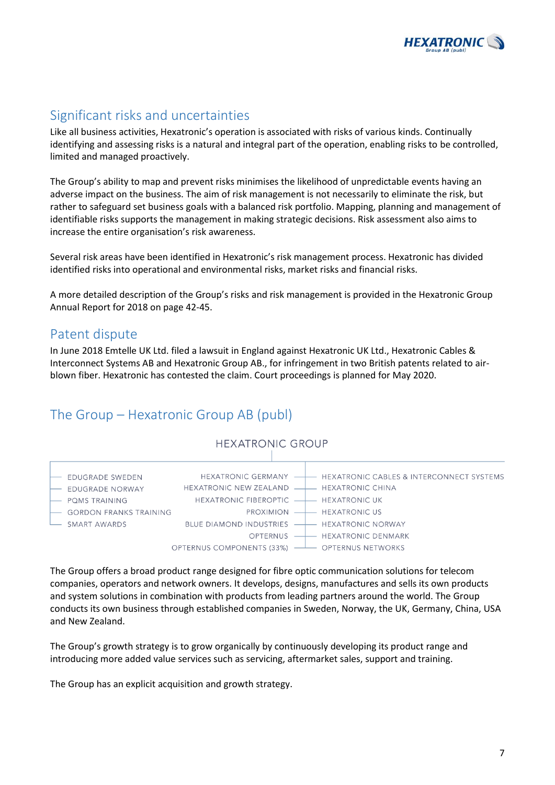

## Significant risks and uncertainties

Like all business activities, Hexatronic's operation is associated with risks of various kinds. Continually identifying and assessing risks is a natural and integral part of the operation, enabling risks to be controlled, limited and managed proactively.

The Group's ability to map and prevent risks minimises the likelihood of unpredictable events having an adverse impact on the business. The aim of risk management is not necessarily to eliminate the risk, but rather to safeguard set business goals with a balanced risk portfolio. Mapping, planning and management of identifiable risks supports the management in making strategic decisions. Risk assessment also aims to increase the entire organisation's risk awareness.

Several risk areas have been identified in Hexatronic's risk management process. Hexatronic has divided identified risks into operational and environmental risks, market risks and financial risks.

A more detailed description of the Group's risks and risk management is provided in the Hexatronic Group Annual Report for 2018 on page 42-45.

### Patent dispute

In June 2018 Emtelle UK Ltd. filed a lawsuit in England against Hexatronic UK Ltd., Hexatronic Cables & Interconnect Systems AB and Hexatronic Group AB., for infringement in two British patents related to airblown fiber. Hexatronic has contested the claim. Court proceedings is planned for May 2020.

## The Group – Hexatronic Group AB (publ)



The Group offers a broad product range designed for fibre optic communication solutions for telecom companies, operators and network owners. It develops, designs, manufactures and sells its own products and system solutions in combination with products from leading partners around the world. The Group conducts its own business through established companies in Sweden, Norway, the UK, Germany, China, USA and New Zealand.

The Group's growth strategy is to grow organically by continuously developing its product range and introducing more added value services such as servicing, aftermarket sales, support and training.

The Group has an explicit acquisition and growth strategy.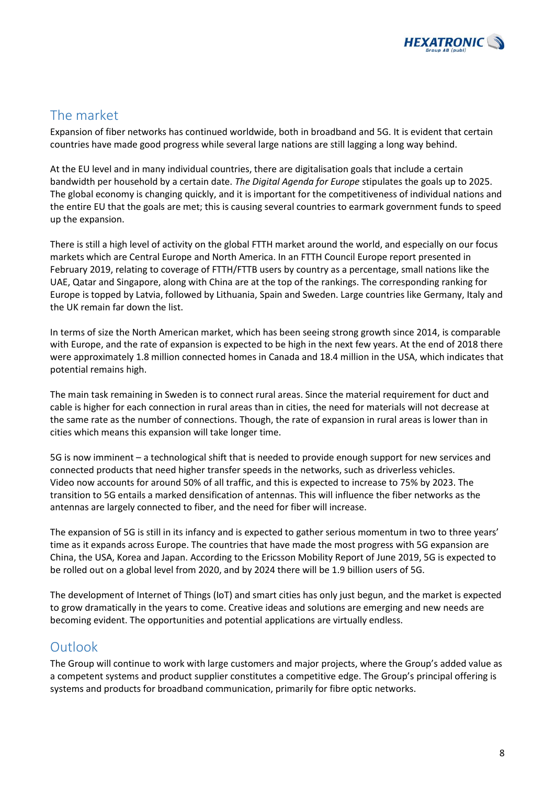

## The market

Expansion of fiber networks has continued worldwide, both in broadband and 5G. It is evident that certain countries have made good progress while several large nations are still lagging a long way behind.

At the EU level and in many individual countries, there are digitalisation goals that include a certain bandwidth per household by a certain date. *The Digital Agenda for Europe* stipulates the goals up to 2025. The global economy is changing quickly, and it is important for the competitiveness of individual nations and the entire EU that the goals are met; this is causing several countries to earmark government funds to speed up the expansion.

There is still a high level of activity on the global FTTH market around the world, and especially on our focus markets which are Central Europe and North America. In an FTTH Council Europe report presented in February 2019, relating to coverage of FTTH/FTTB users by country as a percentage, small nations like the UAE, Qatar and Singapore, along with China are at the top of the rankings. The corresponding ranking for Europe is topped by Latvia, followed by Lithuania, Spain and Sweden. Large countries like Germany, Italy and the UK remain far down the list.

In terms of size the North American market, which has been seeing strong growth since 2014, is comparable with Europe, and the rate of expansion is expected to be high in the next few years. At the end of 2018 there were approximately 1.8 million connected homes in Canada and 18.4 million in the USA, which indicates that potential remains high.

The main task remaining in Sweden is to connect rural areas. Since the material requirement for duct and cable is higher for each connection in rural areas than in cities, the need for materials will not decrease at the same rate as the number of connections. Though, the rate of expansion in rural areas is lower than in cities which means this expansion will take longer time.

5G is now imminent – a technological shift that is needed to provide enough support for new services and connected products that need higher transfer speeds in the networks, such as driverless vehicles. Video now accounts for around 50% of all traffic, and this is expected to increase to 75% by 2023. The transition to 5G entails a marked densification of antennas. This will influence the fiber networks as the antennas are largely connected to fiber, and the need for fiber will increase.

The expansion of 5G is still in its infancy and is expected to gather serious momentum in two to three years' time as it expands across Europe. The countries that have made the most progress with 5G expansion are China, the USA, Korea and Japan. According to the Ericsson Mobility Report of June 2019, 5G is expected to be rolled out on a global level from 2020, and by 2024 there will be 1.9 billion users of 5G.

The development of Internet of Things (IoT) and smart cities has only just begun, and the market is expected to grow dramatically in the years to come. Creative ideas and solutions are emerging and new needs are becoming evident. The opportunities and potential applications are virtually endless.

## Outlook

The Group will continue to work with large customers and major projects, where the Group's added value as a competent systems and product supplier constitutes a competitive edge. The Group's principal offering is systems and products for broadband communication, primarily for fibre optic networks.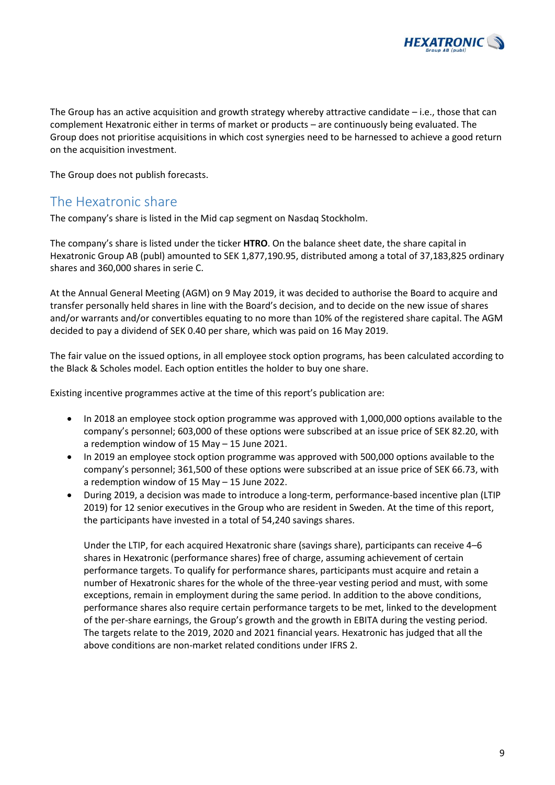

The Group has an active acquisition and growth strategy whereby attractive candidate – i.e., those that can complement Hexatronic either in terms of market or products – are continuously being evaluated. The Group does not prioritise acquisitions in which cost synergies need to be harnessed to achieve a good return on the acquisition investment.

The Group does not publish forecasts.

## The Hexatronic share

The company's share is listed in the Mid cap segment on Nasdaq Stockholm.

The company's share is listed under the ticker **HTRO**. On the balance sheet date, the share capital in Hexatronic Group AB (publ) amounted to SEK 1,877,190.95, distributed among a total of 37,183,825 ordinary shares and 360,000 shares in serie C.

At the Annual General Meeting (AGM) on 9 May 2019, it was decided to authorise the Board to acquire and transfer personally held shares in line with the Board's decision, and to decide on the new issue of shares and/or warrants and/or convertibles equating to no more than 10% of the registered share capital. The AGM decided to pay a dividend of SEK 0.40 per share, which was paid on 16 May 2019.

The fair value on the issued options, in all employee stock option programs, has been calculated according to the Black & Scholes model. Each option entitles the holder to buy one share.

Existing incentive programmes active at the time of this report's publication are:

- In 2018 an employee stock option programme was approved with 1,000,000 options available to the company's personnel; 603,000 of these options were subscribed at an issue price of SEK 82.20, with a redemption window of 15 May – 15 June 2021.
- In 2019 an employee stock option programme was approved with 500,000 options available to the company's personnel; 361,500 of these options were subscribed at an issue price of SEK 66.73, with a redemption window of 15 May – 15 June 2022.
- During 2019, a decision was made to introduce a long-term, performance-based incentive plan (LTIP 2019) for 12 senior executives in the Group who are resident in Sweden. At the time of this report, the participants have invested in a total of 54,240 savings shares.

Under the LTIP, for each acquired Hexatronic share (savings share), participants can receive 4–6 shares in Hexatronic (performance shares) free of charge, assuming achievement of certain performance targets. To qualify for performance shares, participants must acquire and retain a number of Hexatronic shares for the whole of the three-year vesting period and must, with some exceptions, remain in employment during the same period. In addition to the above conditions, performance shares also require certain performance targets to be met, linked to the development of the per-share earnings, the Group's growth and the growth in EBITA during the vesting period. The targets relate to the 2019, 2020 and 2021 financial years. Hexatronic has judged that all the above conditions are non-market related conditions under IFRS 2.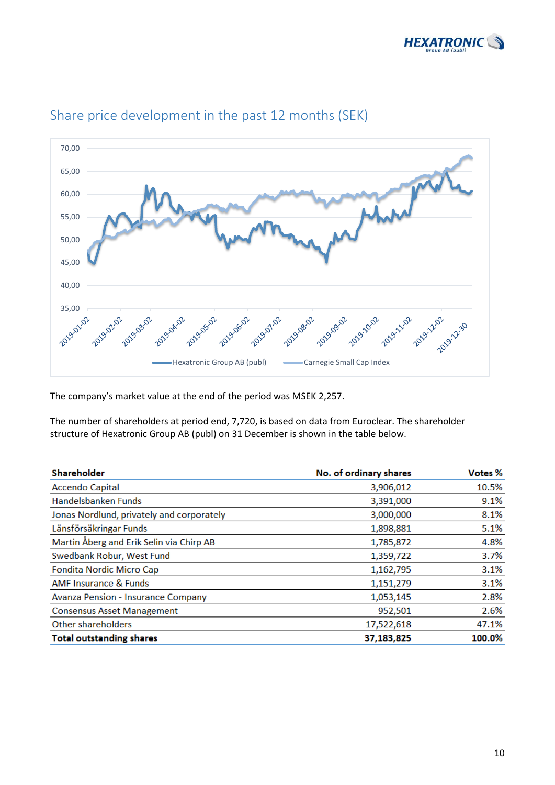



## Share price development in the past 12 months (SEK)

The company's market value at the end of the period was MSEK 2,257.

The number of shareholders at period end, 7,720, is based on data from Euroclear. The shareholder structure of Hexatronic Group AB (publ) on 31 December is shown in the table below.

| Shareholder                               | No. of ordinary shares | Votes % |
|-------------------------------------------|------------------------|---------|
| <b>Accendo Capital</b>                    | 3,906,012              | 10.5%   |
| Handelsbanken Funds                       | 3,391,000              | 9.1%    |
| Jonas Nordlund, privately and corporately | 3,000,000              | 8.1%    |
| Länsförsäkringar Funds                    | 1,898,881              | 5.1%    |
| Martin Åberg and Erik Selin via Chirp AB  | 1,785,872              | 4.8%    |
| Swedbank Robur, West Fund                 | 1,359,722              | 3.7%    |
| <b>Fondita Nordic Micro Cap</b>           | 1,162,795              | 3.1%    |
| <b>AMF Insurance &amp; Funds</b>          | 1,151,279              | 3.1%    |
| <b>Avanza Pension - Insurance Company</b> | 1,053,145              | 2.8%    |
| <b>Consensus Asset Management</b>         | 952,501                | 2.6%    |
| Other shareholders                        | 17,522,618             | 47.1%   |
| <b>Total outstanding shares</b>           | 37,183,825             | 100.0%  |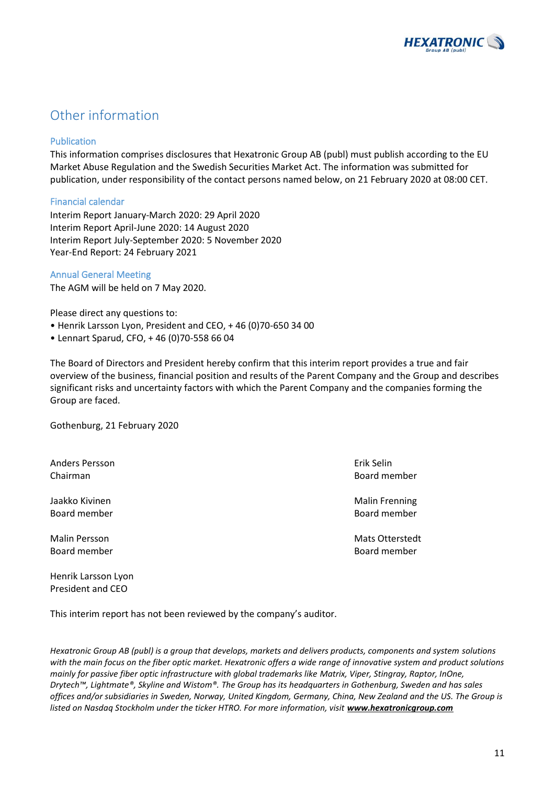

## Other information

### Publication

This information comprises disclosures that Hexatronic Group AB (publ) must publish according to the EU Market Abuse Regulation and the Swedish Securities Market Act. The information was submitted for publication, under responsibility of the contact persons named below, on 21 February 2020 at 08:00 CET.

### Financial calendar

Interim Report January-March 2020: 29 April 2020 Interim Report April-June 2020: 14 August 2020 Interim Report July-September 2020: 5 November 2020 Year-End Report: 24 February 2021

### Annual General Meeting

The AGM will be held on 7 May 2020.

Please direct any questions to:

- Henrik Larsson Lyon, President and CEO, + 46 (0)70-650 34 00
- Lennart Sparud, CFO, + 46 (0)70-558 66 04

The Board of Directors and President hereby confirm that this interim report provides a true and fair overview of the business, financial position and results of the Parent Company and the Group and describes significant risks and uncertainty factors with which the Parent Company and the companies forming the Group are faced.

Gothenburg, 21 February 2020

Anders Persson Erik Selin Chairman Board member

Jaakko Kivinen Malin Frenning (Malin Frenning) waa meesta waa madaxwad waa madaxwad waa madaxwad waa madaxwad m Board member Board member

Henrik Larsson Lyon President and CEO

Malin Persson Mats Otterstedt Board member Board member

This interim report has not been reviewed by the company's auditor.

*Hexatronic Group AB (publ) is a group that develops, markets and delivers products, components and system solutions with the main focus on the fiber optic market. Hexatronic offers a wide range of innovative system and product solutions mainly for passive fiber optic infrastructure with global trademarks like Matrix, Viper, Stingray, Raptor, InOne, Drytech™, Lightmate®, Skyline and Wistom®. The Group has its headquarters in Gothenburg, Sweden and has sales offices and/or subsidiaries in Sweden, Norway, United Kingdom, Germany, China, New Zealand and the US. The Group is*  listed on Nasdaq Stockholm under the ticker HTRO. For more information, visit **[www.hexatronicgroup.com](http://www.hexatronicgroup.com/)**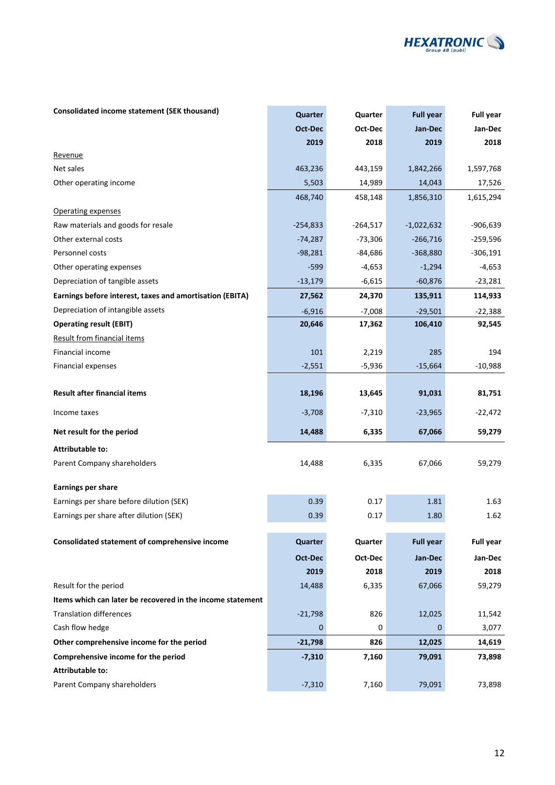

### **Consolidated income statement (SEK thousand) <b>According to Consolidated Full year Full year Full year**

|                                                            | Oct-Dec    | Oct-Dec    | Jan-Dec          | Jan-Dec          |
|------------------------------------------------------------|------------|------------|------------------|------------------|
|                                                            | 2019       | 2018       | 2019             | 2018             |
| Revenue                                                    |            |            |                  |                  |
| Net sales                                                  | 463,236    | 443,159    | 1,842,266        | 1,597,768        |
| Other operating income                                     | 5,503      | 14,989     | 14,043           | 17,526           |
|                                                            | 468,740    | 458,148    | 1,856,310        | 1,615,294        |
| Operating expenses                                         |            |            |                  |                  |
| Raw materials and goods for resale                         | $-254,833$ | $-264,517$ | $-1,022,632$     | $-906,639$       |
| Other external costs                                       | $-74,287$  | $-73,306$  | $-266,716$       | $-259,596$       |
| Personnel costs                                            | $-98,281$  | $-84,686$  | $-368,880$       | $-306,191$       |
| Other operating expenses                                   | $-599$     | $-4,653$   | $-1,294$         | $-4,653$         |
| Depreciation of tangible assets                            | $-13,179$  | $-6,615$   | $-60,876$        | $-23,281$        |
| Earnings before interest, taxes and amortisation (EBITA)   | 27,562     | 24,370     | 135,911          | 114,933          |
| Depreciation of intangible assets                          | $-6,916$   | $-7,008$   | $-29,501$        | $-22,388$        |
| <b>Operating result (EBIT)</b>                             | 20,646     | 17,362     | 106,410          | 92,545           |
| <b>Result from financial items</b>                         |            |            |                  |                  |
| Financial income                                           | 101        | 2,219      | 285              | 194              |
| Financial expenses                                         | $-2,551$   | $-5,936$   | $-15,664$        | $-10,988$        |
|                                                            |            |            |                  |                  |
| <b>Result after financial items</b>                        | 18,196     | 13,645     | 91,031           | 81,751           |
| Income taxes                                               | $-3,708$   | $-7,310$   | $-23,965$        | $-22,472$        |
| Net result for the period                                  | 14,488     | 6,335      | 67,066           | 59,279           |
| <b>Attributable to:</b>                                    |            |            |                  |                  |
| Parent Company shareholders                                | 14,488     | 6,335      | 67,066           | 59,279           |
| <b>Earnings per share</b>                                  |            |            |                  |                  |
| Earnings per share before dilution (SEK)                   | 0.39       | 0.17       | 1.81             | 1.63             |
| Earnings per share after dilution (SEK)                    | 0.39       | 0.17       | 1.80             | 1.62             |
|                                                            |            |            |                  |                  |
| Consolidated statement of comprehensive income             | Quarter    | Quarter    | <b>Full year</b> | <b>Full year</b> |
|                                                            | Oct-Dec    | Oct-Dec    | Jan-Dec          | Jan-Dec          |
|                                                            | 2019       | 2018       | 2019             | 2018             |
| Result for the period                                      | 14,488     | 6,335      | 67,066           | 59,279           |
| Items which can later be recovered in the income statement |            |            |                  |                  |
| <b>Translation differences</b>                             | $-21,798$  | 826        | 12,025           | 11,542           |
| Cash flow hedge                                            | 0          | 0          | $\Omega$         | 3,077            |
| Other comprehensive income for the period                  | $-21,798$  | 826        | 12,025           | 14,619           |
| Comprehensive income for the period                        | $-7,310$   | 7,160      | 79,091           | 73,898           |
| <b>Attributable to:</b>                                    |            |            |                  |                  |
| Parent Company shareholders                                | $-7,310$   | 7,160      | 79,091           | 73,898           |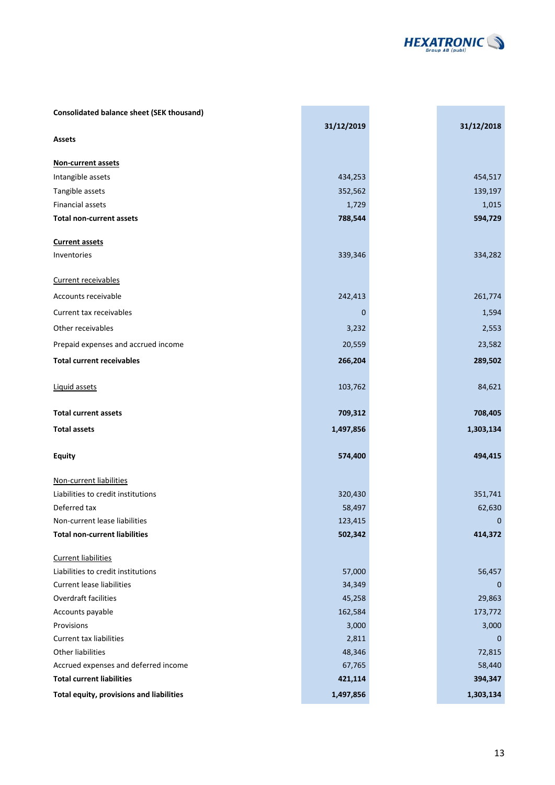

| <b>Consolidated balance sheet (SEK thousand)</b>              |                   |             |
|---------------------------------------------------------------|-------------------|-------------|
|                                                               | 31/12/2019        | 31/12/2018  |
| <b>Assets</b>                                                 |                   |             |
| Non-current assets                                            |                   |             |
|                                                               |                   |             |
| Intangible assets                                             | 434,253           | 454,517     |
| Tangible assets                                               | 352,562           | 139,197     |
| <b>Financial assets</b>                                       | 1,729             | 1,015       |
| <b>Total non-current assets</b>                               | 788,544           | 594,729     |
| <b>Current assets</b>                                         |                   |             |
| Inventories                                                   | 339,346           | 334,282     |
|                                                               |                   |             |
| Current receivables                                           |                   |             |
| Accounts receivable                                           | 242,413           | 261,774     |
| Current tax receivables                                       | $\mathbf 0$       | 1,594       |
| Other receivables                                             | 3,232             | 2,553       |
| Prepaid expenses and accrued income                           | 20,559            | 23,582      |
| <b>Total current receivables</b>                              | 266,204           | 289,502     |
|                                                               |                   |             |
| Liquid assets                                                 | 103,762           | 84,621      |
|                                                               |                   |             |
| <b>Total current assets</b>                                   | 709,312           | 708,405     |
| <b>Total assets</b>                                           | 1,497,856         | 1,303,134   |
|                                                               |                   |             |
| <b>Equity</b>                                                 | 574,400           | 494,415     |
|                                                               |                   |             |
| Non-current liabilities<br>Liabilities to credit institutions |                   | 351,741     |
| Deferred tax                                                  | 320,430<br>58,497 | 62,630      |
| Non-current lease liabilities                                 | 123,415           | $\mathbf 0$ |
| <b>Total non-current liabilities</b>                          | 502,342           | 414,372     |
|                                                               |                   |             |
| <b>Current liabilities</b>                                    |                   |             |
| Liabilities to credit institutions                            | 57,000            | 56,457      |
| <b>Current lease liabilities</b>                              | 34,349            | $\mathbf 0$ |
| Overdraft facilities                                          | 45,258            | 29,863      |
| Accounts payable                                              | 162,584           | 173,772     |
| Provisions                                                    | 3,000             | 3,000       |
| Current tax liabilities                                       | 2,811             | 0           |
| Other liabilities                                             | 48,346            | 72,815      |
| Accrued expenses and deferred income                          | 67,765            | 58,440      |
| <b>Total current liabilities</b>                              | 421,114           | 394,347     |
| Total equity, provisions and liabilities                      | 1,497,856         | 1,303,134   |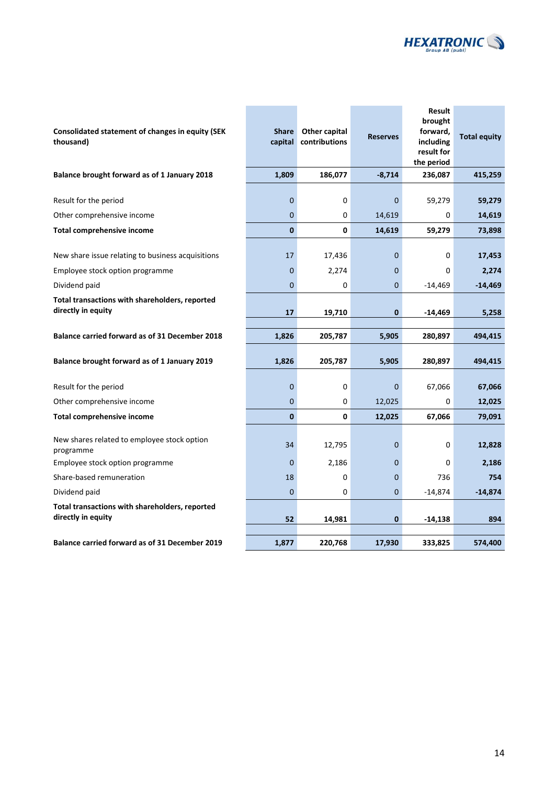

#### **Consolidated statement of changes in equity (SEK thousand)**

| Balance brought forward as of 1 January 2018 |  |
|----------------------------------------------|--|
|                                              |  |

| Consolidated statement of changes in equity (SEK<br>thousand)        | <b>Share</b><br>capital | Other capital<br>contributions | <b>Reserves</b> | Result<br>brought<br>forward,<br>including<br>result for<br>the period | <b>Total equity</b> |
|----------------------------------------------------------------------|-------------------------|--------------------------------|-----------------|------------------------------------------------------------------------|---------------------|
| Balance brought forward as of 1 January 2018                         | 1,809                   | 186,077                        | $-8,714$        | 236,087                                                                | 415,259             |
| Result for the period                                                | $\mathbf 0$             | 0                              | 0               | 59,279                                                                 | 59,279              |
| Other comprehensive income                                           | $\mathbf 0$             | 0                              | 14,619          | 0                                                                      | 14,619              |
| <b>Total comprehensive income</b>                                    | $\bf{0}$                | 0                              | 14,619          | 59,279                                                                 | 73,898              |
| New share issue relating to business acquisitions                    | 17                      | 17,436                         | 0               | 0                                                                      | 17,453              |
| Employee stock option programme                                      | $\mathbf 0$             | 2,274                          | 0               | 0                                                                      | 2,274               |
| Dividend paid                                                        | $\mathbf 0$             | 0                              | 0               | -14,469                                                                | $-14,469$           |
| Total transactions with shareholders, reported<br>directly in equity | 17                      | 19,710                         | 0               | -14,469                                                                | 5,258               |
| <b>Balance carried forward as of 31 December 2018</b>                | 1,826                   | 205,787                        | 5,905           | 280,897                                                                | 494,415             |
| Balance brought forward as of 1 January 2019                         | 1,826                   | 205,787                        | 5,905           | 280,897                                                                | 494,415             |
| Result for the period                                                | 0                       | 0                              | 0               | 67,066                                                                 | 67,066              |
| Other comprehensive income                                           | $\overline{0}$          | 0                              | 12,025          | 0                                                                      | 12,025              |
| <b>Total comprehensive income</b>                                    | $\mathbf{0}$            | 0                              | 12,025          | 67,066                                                                 | 79,091              |
| New shares related to employee stock option<br>programme             | 34                      | 12,795                         | $\mathbf 0$     | 0                                                                      | 12,828              |
| Employee stock option programme                                      | 0                       | 2,186                          | 0               | 0                                                                      | 2,186               |
| Share-based remuneration                                             | 18                      | 0                              | 0               | 736                                                                    | 754                 |
| Dividend paid                                                        | $\mathbf 0$             | 0                              | 0               | -14,874                                                                | $-14,874$           |
| Total transactions with shareholders, reported<br>directly in equity | 52                      | 14,981                         | 0               | $-14,138$                                                              | 894                 |
| Balance carried forward as of 31 December 2019                       | 1,877                   | 220,768                        | 17,930          | 333,825                                                                | 574.400             |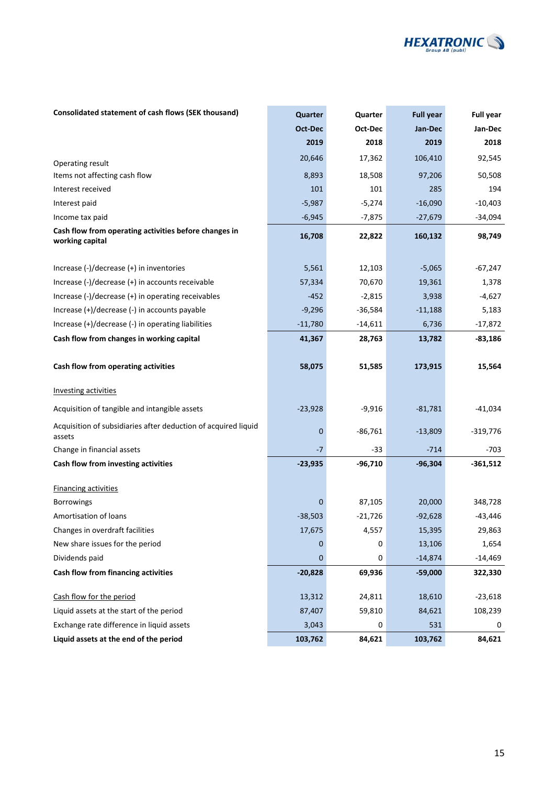

### **Consolidated statement of cash flows (SEK thousand) <b>Quarter Quarter Quarter Full year Full year**

|                                                                          | Oct-Dec     | Oct-Dec   | Jan-Dec   | Jan-Dec    |
|--------------------------------------------------------------------------|-------------|-----------|-----------|------------|
|                                                                          | 2019        | 2018      | 2019      | 2018       |
| Operating result                                                         | 20,646      | 17,362    | 106,410   | 92,545     |
| Items not affecting cash flow                                            | 8,893       | 18,508    | 97,206    | 50,508     |
| Interest received                                                        | 101         | 101       | 285       | 194        |
| Interest paid                                                            | $-5,987$    | $-5,274$  | $-16,090$ | $-10,403$  |
| Income tax paid                                                          | $-6,945$    | $-7,875$  | $-27,679$ | $-34,094$  |
| Cash flow from operating activities before changes in<br>working capital | 16,708      | 22,822    | 160,132   | 98,749     |
|                                                                          |             |           |           |            |
| Increase $(-)/$ decrease $(+)$ in inventories                            | 5,561       | 12,103    | $-5,065$  | $-67,247$  |
| Increase (-)/decrease (+) in accounts receivable                         | 57,334      | 70,670    | 19,361    | 1,378      |
| Increase $(-)/$ decrease $(+)$ in operating receivables                  | $-452$      | $-2,815$  | 3,938     | $-4,627$   |
| Increase (+)/decrease (-) in accounts payable                            | $-9,296$    | $-36,584$ | $-11,188$ | 5,183      |
| Increase (+)/decrease (-) in operating liabilities                       | $-11,780$   | $-14,611$ | 6,736     | $-17,872$  |
| Cash flow from changes in working capital                                | 41,367      | 28,763    | 13,782    | $-83,186$  |
| Cash flow from operating activities                                      | 58,075      | 51,585    | 173,915   | 15,564     |
| <b>Investing activities</b>                                              |             |           |           |            |
| Acquisition of tangible and intangible assets                            | $-23,928$   | $-9,916$  | $-81,781$ | $-41,034$  |
| Acquisition of subsidiaries after deduction of acquired liquid<br>assets | $\mathbf 0$ | $-86,761$ | $-13,809$ | $-319,776$ |
| Change in financial assets                                               | -7          | -33       | $-714$    | $-703$     |
| Cash flow from investing activities                                      | $-23,935$   | $-96,710$ | $-96,304$ | $-361,512$ |
| <b>Financing activities</b>                                              |             |           |           |            |
| <b>Borrowings</b>                                                        | $\mathbf 0$ | 87,105    | 20,000    | 348,728    |
| Amortisation of loans                                                    | $-38,503$   | $-21,726$ | $-92,628$ | $-43,446$  |
| Changes in overdraft facilities                                          | 17,675      | 4,557     | 15,395    | 29,863     |
| New share issues for the period                                          | $\mathbf 0$ | 0         | 13,106    | 1,654      |
| Dividends paid                                                           | $\mathbf 0$ | 0         | $-14,874$ | $-14,469$  |
| Cash flow from financing activities                                      | $-20,828$   | 69,936    | $-59,000$ | 322,330    |
| Cash flow for the period                                                 | 13,312      | 24,811    | 18,610    | $-23,618$  |
| Liquid assets at the start of the period                                 | 87,407      | 59,810    | 84,621    | 108,239    |
| Exchange rate difference in liquid assets                                | 3,043       | 0         | 531       | 0          |
| Liquid assets at the end of the period                                   | 103,762     | 84,621    | 103,762   | 84,621     |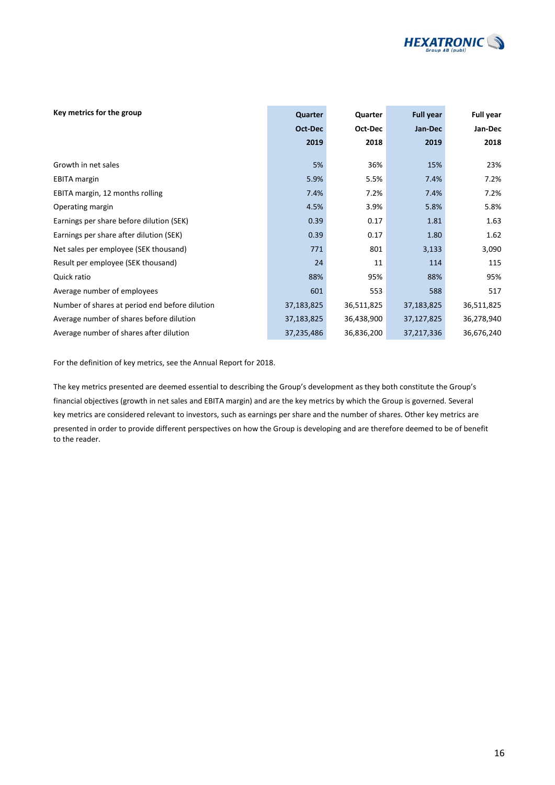

| Key metrics for the group                      | Quarter    | Quarter    | <b>Full year</b> | <b>Full year</b> |
|------------------------------------------------|------------|------------|------------------|------------------|
|                                                | Oct-Dec    | Oct-Dec    | Jan-Dec          | Jan-Dec          |
|                                                | 2019       | 2018       | 2019             | 2018             |
|                                                |            |            |                  |                  |
| Growth in net sales                            | 5%         | 36%        | 15%              | 23%              |
| <b>EBITA</b> margin                            | 5.9%       | 5.5%       | 7.4%             | 7.2%             |
| EBITA margin, 12 months rolling                | 7.4%       | 7.2%       | 7.4%             | 7.2%             |
| Operating margin                               | 4.5%       | 3.9%       | 5.8%             | 5.8%             |
| Earnings per share before dilution (SEK)       | 0.39       | 0.17       | 1.81             | 1.63             |
| Earnings per share after dilution (SEK)        | 0.39       | 0.17       | 1.80             | 1.62             |
| Net sales per employee (SEK thousand)          | 771        | 801        | 3,133            | 3,090            |
| Result per employee (SEK thousand)             | 24         | 11         | 114              | 115              |
| Quick ratio                                    | 88%        | 95%        | 88%              | 95%              |
| Average number of employees                    | 601        | 553        | 588              | 517              |
| Number of shares at period end before dilution | 37,183,825 | 36,511,825 | 37,183,825       | 36,511,825       |
| Average number of shares before dilution       | 37,183,825 | 36,438,900 | 37,127,825       | 36,278,940       |
| Average number of shares after dilution        | 37,235,486 | 36,836,200 | 37,217,336       | 36,676,240       |

For the definition of key metrics, see the Annual Report for 2018.

The key metrics presented are deemed essential to describing the Group's development as they both constitute the Group's financial objectives (growth in net sales and EBITA margin) and are the key metrics by which the Group is governed. Several key metrics are considered relevant to investors, such as earnings per share and the number of shares. Other key metrics are presented in order to provide different perspectives on how the Group is developing and are therefore deemed to be of benefit to the reader.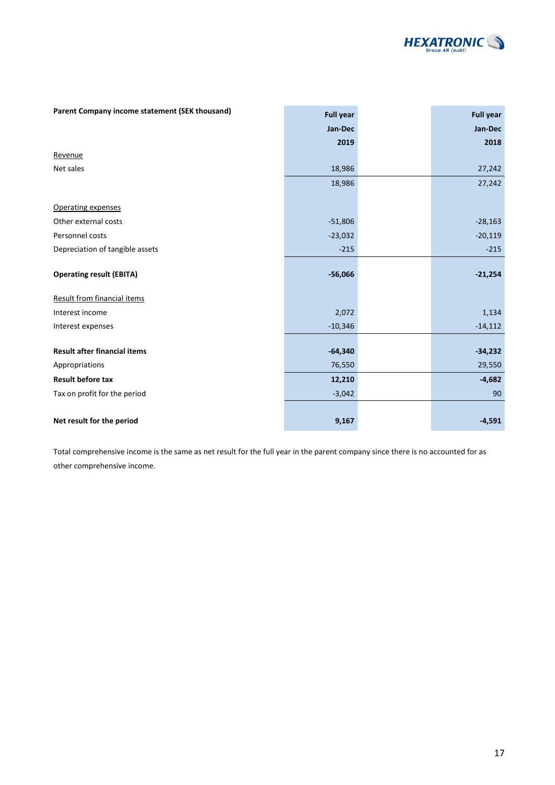

| Parent Company income statement (SEK thousand) | <b>Full year</b> | <b>Full year</b> |
|------------------------------------------------|------------------|------------------|
|                                                | Jan-Dec          | Jan-Dec          |
|                                                | 2019             | 2018             |
| Revenue                                        |                  |                  |
| Net sales                                      | 18,986           | 27,242           |
|                                                | 18,986           | 27,242           |
| Operating expenses                             |                  |                  |
| Other external costs                           | $-51,806$        | $-28,163$        |
| Personnel costs                                | $-23,032$        | $-20,119$        |
| Depreciation of tangible assets                | $-215$           | $-215$           |
| <b>Operating result (EBITA)</b>                | $-56,066$        | $-21,254$        |
|                                                |                  |                  |
| Result from financial items                    |                  |                  |
| Interest income                                | 2,072            | 1,134            |
| Interest expenses                              | $-10,346$        | $-14,112$        |
| <b>Result after financial items</b>            | $-64,340$        | $-34,232$        |
| Appropriations                                 | 76,550           | 29,550           |
| Result before tax                              | 12,210           | $-4,682$         |
| Tax on profit for the period                   | $-3,042$         | 90               |
|                                                |                  |                  |
| Net result for the period                      | 9,167            | $-4,591$         |

Total comprehensive income is the same as net result for the full year in the parent company since there is no accounted for as other comprehensive income.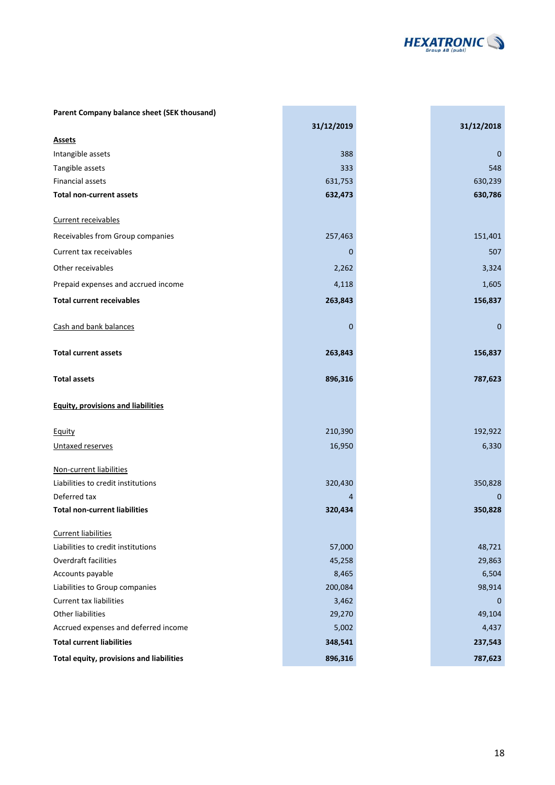

and the state of the state of the

| Parent Company balance sheet (SEK thousand) |              |             |
|---------------------------------------------|--------------|-------------|
|                                             | 31/12/2019   | 31/12/2018  |
| <b>Assets</b>                               |              |             |
| Intangible assets                           | 388          | 0           |
| Tangible assets                             | 333          | 548         |
| <b>Financial assets</b>                     | 631,753      | 630,239     |
| <b>Total non-current assets</b>             | 632,473      | 630,786     |
| Current receivables                         |              |             |
| Receivables from Group companies            | 257,463      | 151,401     |
| Current tax receivables                     | 0            | 507         |
| Other receivables                           | 2,262        | 3,324       |
| Prepaid expenses and accrued income         | 4,118        | 1,605       |
| <b>Total current receivables</b>            | 263,843      | 156,837     |
| Cash and bank balances                      | $\mathbf{0}$ | $\mathbf 0$ |
| <b>Total current assets</b>                 | 263,843      | 156,837     |
| <b>Total assets</b>                         | 896,316      | 787,623     |
| <b>Equity, provisions and liabilities</b>   |              |             |
| Equity                                      | 210,390      | 192,922     |
| Untaxed reserves                            | 16,950       | 6,330       |
| Non-current liabilities                     |              |             |
| Liabilities to credit institutions          | 320,430      | 350,828     |
| Deferred tax                                | 4            | 0           |
| <b>Total non-current liabilities</b>        | 320,434      | 350,828     |
| <b>Current liabilities</b>                  |              |             |
| Liabilities to credit institutions          | 57,000       | 48,721      |
| Overdraft facilities                        | 45,258       | 29,863      |
| Accounts payable                            | 8,465        | 6,504       |
| Liabilities to Group companies              | 200,084      | 98,914      |
| <b>Current tax liabilities</b>              | 3,462        | 0           |
| Other liabilities                           | 29,270       | 49,104      |
| Accrued expenses and deferred income        | 5,002        | 4,437       |
| <b>Total current liabilities</b>            | 348,541      | 237,543     |
| Total equity, provisions and liabilities    | 896,316      | 787,623     |

and the control of the control of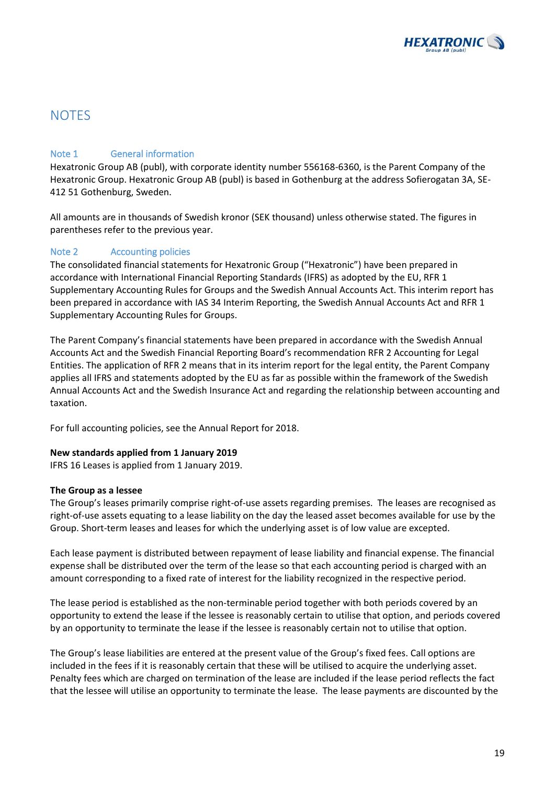![](_page_18_Picture_0.jpeg)

### **NOTES**

### Note 1 General information

Hexatronic Group AB (publ), with corporate identity number 556168-6360, is the Parent Company of the Hexatronic Group. Hexatronic Group AB (publ) is based in Gothenburg at the address Sofierogatan 3A, SE-412 51 Gothenburg, Sweden.

All amounts are in thousands of Swedish kronor (SEK thousand) unless otherwise stated. The figures in parentheses refer to the previous year.

### Note 2 Accounting policies

The consolidated financial statements for Hexatronic Group ("Hexatronic") have been prepared in accordance with International Financial Reporting Standards (IFRS) as adopted by the EU, RFR 1 Supplementary Accounting Rules for Groups and the Swedish Annual Accounts Act. This interim report has been prepared in accordance with IAS 34 Interim Reporting, the Swedish Annual Accounts Act and RFR 1 Supplementary Accounting Rules for Groups.

The Parent Company's financial statements have been prepared in accordance with the Swedish Annual Accounts Act and the Swedish Financial Reporting Board's recommendation RFR 2 Accounting for Legal Entities. The application of RFR 2 means that in its interim report for the legal entity, the Parent Company applies all IFRS and statements adopted by the EU as far as possible within the framework of the Swedish Annual Accounts Act and the Swedish Insurance Act and regarding the relationship between accounting and taxation.

For full accounting policies, see the Annual Report for 2018.

#### **New standards applied from 1 January 2019**

IFRS 16 Leases is applied from 1 January 2019.

#### **The Group as a lessee**

The Group's leases primarily comprise right-of-use assets regarding premises. The leases are recognised as right-of-use assets equating to a lease liability on the day the leased asset becomes available for use by the Group. Short-term leases and leases for which the underlying asset is of low value are excepted.

Each lease payment is distributed between repayment of lease liability and financial expense. The financial expense shall be distributed over the term of the lease so that each accounting period is charged with an amount corresponding to a fixed rate of interest for the liability recognized in the respective period.

The lease period is established as the non-terminable period together with both periods covered by an opportunity to extend the lease if the lessee is reasonably certain to utilise that option, and periods covered by an opportunity to terminate the lease if the lessee is reasonably certain not to utilise that option.

The Group's lease liabilities are entered at the present value of the Group's fixed fees. Call options are included in the fees if it is reasonably certain that these will be utilised to acquire the underlying asset. Penalty fees which are charged on termination of the lease are included if the lease period reflects the fact that the lessee will utilise an opportunity to terminate the lease. The lease payments are discounted by the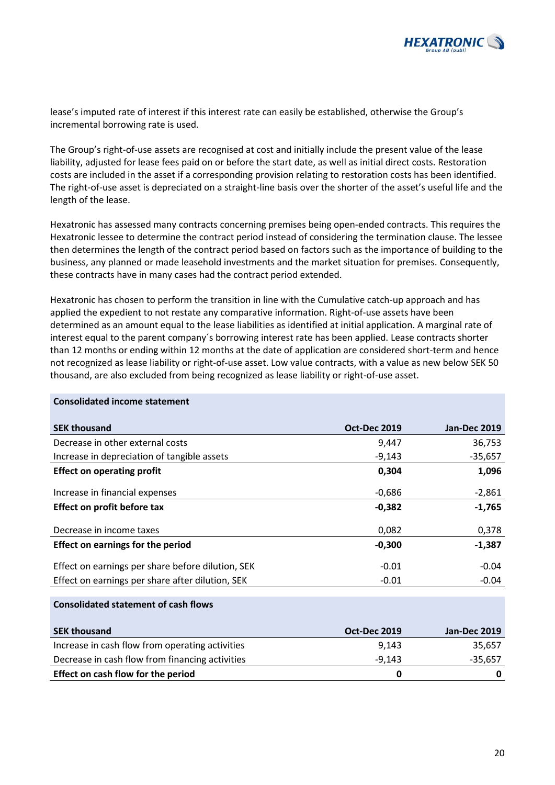![](_page_19_Picture_0.jpeg)

lease's imputed rate of interest if this interest rate can easily be established, otherwise the Group's incremental borrowing rate is used.

The Group's right-of-use assets are recognised at cost and initially include the present value of the lease liability, adjusted for lease fees paid on or before the start date, as well as initial direct costs. Restoration costs are included in the asset if a corresponding provision relating to restoration costs has been identified. The right-of-use asset is depreciated on a straight-line basis over the shorter of the asset's useful life and the length of the lease.

Hexatronic has assessed many contracts concerning premises being open-ended contracts. This requires the Hexatronic lessee to determine the contract period instead of considering the termination clause. The lessee then determines the length of the contract period based on factors such as the importance of building to the business, any planned or made leasehold investments and the market situation for premises. Consequently, these contracts have in many cases had the contract period extended.

Hexatronic has chosen to perform the transition in line with the Cumulative catch-up approach and has applied the expedient to not restate any comparative information. Right-of-use assets have been determined as an amount equal to the lease liabilities as identified at initial application. A marginal rate of interest equal to the parent company´s borrowing interest rate has been applied. Lease contracts shorter than 12 months or ending within 12 months at the date of application are considered short-term and hence not recognized as lease liability or right-of-use asset. Low value contracts, with a value as new below SEK 50 thousand, are also excluded from being recognized as lease liability or right-of-use asset.

| <b>SEK thousand</b>                               | <b>Oct-Dec 2019</b> | <b>Jan-Dec 2019</b> |
|---------------------------------------------------|---------------------|---------------------|
| Decrease in other external costs                  | 9,447               | 36,753              |
| Increase in depreciation of tangible assets       | $-9,143$            | $-35,657$           |
| <b>Effect on operating profit</b>                 | 0,304               | 1,096               |
| Increase in financial expenses                    | $-0,686$            | $-2,861$            |
| Effect on profit before tax                       | $-0,382$            | $-1,765$            |
| Decrease in income taxes                          | 0,082               | 0,378               |
| <b>Effect on earnings for the period</b>          | $-0,300$            | $-1,387$            |
| Effect on earnings per share before dilution, SEK | $-0.01$             | $-0.04$             |
| Effect on earnings per share after dilution, SEK  | $-0.01$             | $-0.04$             |
|                                                   |                     |                     |
| <b>Consolidated statement of cash flows</b>       |                     |                     |

#### **Consolidated income statement**

| <b>SEK thousand</b>                             | <b>Oct-Dec 2019</b> | <b>Jan-Dec 2019</b> |
|-------------------------------------------------|---------------------|---------------------|
| Increase in cash flow from operating activities | 9.143               | 35,657              |
| Decrease in cash flow from financing activities | $-9.143$            | $-35,657$           |
| Effect on cash flow for the period              | o                   |                     |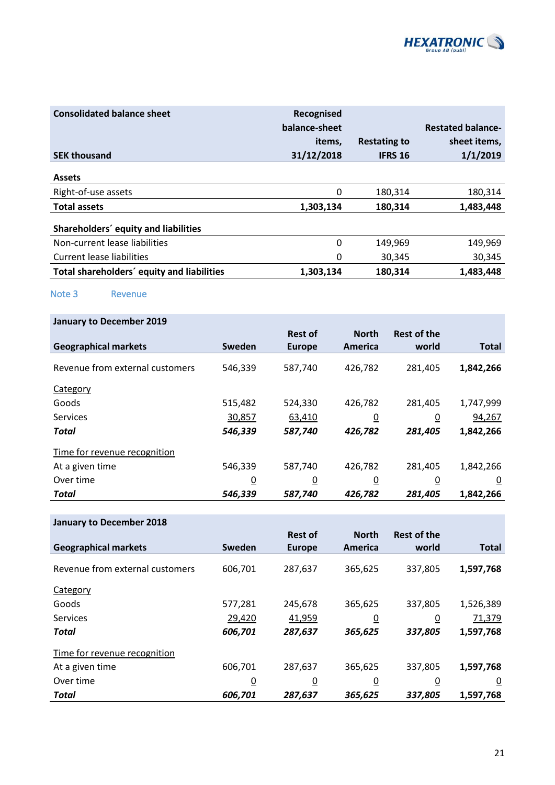![](_page_20_Picture_0.jpeg)

| <b>Consolidated balance sheet</b>          | Recognised    |                     |                          |
|--------------------------------------------|---------------|---------------------|--------------------------|
|                                            | balance-sheet |                     | <b>Restated balance-</b> |
|                                            | items.        | <b>Restating to</b> | sheet items,             |
| <b>SEK thousand</b>                        | 31/12/2018    | <b>IFRS 16</b>      | 1/1/2019                 |
| <b>Assets</b>                              |               |                     |                          |
| Right-of-use assets                        | 0             | 180,314             | 180,314                  |
| <b>Total assets</b>                        | 1,303,134     | 180,314             | 1,483,448                |
| Shareholders' equity and liabilities       |               |                     |                          |
| Non-current lease liabilities              | 0             | 149,969             | 149,969                  |
| Current lease liabilities                  | 0             | 30,345              | 30,345                   |
| Total shareholders' equity and liabilities | 1,303,134     | 180,314             | 1,483,448                |

Note 3 Revenue

| <b>January to December 2019</b> |                |                |                |                    |                |
|---------------------------------|----------------|----------------|----------------|--------------------|----------------|
|                                 |                | <b>Rest of</b> | <b>North</b>   | <b>Rest of the</b> |                |
| <b>Geographical markets</b>     | Sweden         | <b>Europe</b>  | America        | world              | <b>Total</b>   |
| Revenue from external customers | 546,339        | 587,740        | 426,782        | 281,405            | 1,842,266      |
| Category                        |                |                |                |                    |                |
| Goods                           | 515,482        | 524,330        | 426,782        | 281,405            | 1,747,999      |
| <b>Services</b>                 | 30,857         | 63,410         | $\overline{0}$ | $\overline{0}$     | 94,267         |
| <b>Total</b>                    | 546,339        | 587,740        | 426,782        | 281,405            | 1,842,266      |
| Time for revenue recognition    |                |                |                |                    |                |
| At a given time                 | 546,339        | 587,740        | 426,782        | 281,405            | 1,842,266      |
| Over time                       | $\overline{0}$ | $\overline{0}$ | $\overline{0}$ | $\overline{0}$     | $\overline{0}$ |
| <b>Total</b>                    | 546,339        | 587,740        | 426,782        | 281,405            | 1,842,266      |

### **January to December 2018**

|                                 |                | <b>Rest of</b> | <b>North</b>   | <b>Rest of the</b> |                |
|---------------------------------|----------------|----------------|----------------|--------------------|----------------|
| <b>Geographical markets</b>     | Sweden         | <b>Europe</b>  | America        | world              | <b>Total</b>   |
| Revenue from external customers | 606,701        | 287,637        | 365,625        | 337,805            | 1,597,768      |
| Category                        |                |                |                |                    |                |
| Goods                           | 577,281        | 245,678        | 365,625        | 337,805            | 1,526,389      |
| <b>Services</b>                 | 29,420         | 41,959         | $\overline{0}$ | $\overline{0}$     | 71,379         |
| <b>Total</b>                    | 606,701        | 287,637        | 365,625        | 337,805            | 1,597,768      |
| Time for revenue recognition    |                |                |                |                    |                |
| At a given time                 | 606,701        | 287,637        | 365,625        | 337,805            | 1,597,768      |
| Over time                       | $\overline{0}$ | $\overline{0}$ | $\overline{0}$ | $\overline{0}$     | $\overline{0}$ |
| Total                           | 606,701        | 287,637        | 365,625        | 337,805            | 1,597,768      |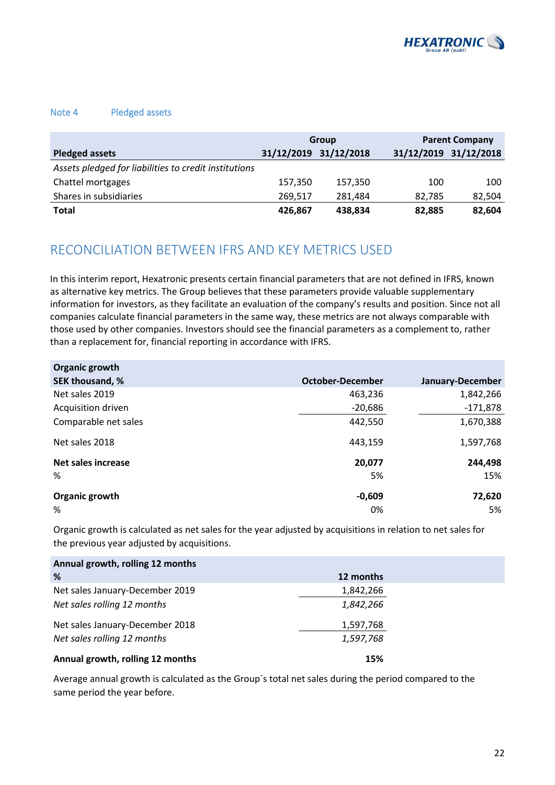![](_page_21_Picture_0.jpeg)

#### Note 4 Pledged assets

|                                                       | Group   |                       | <b>Parent Company</b> |                       |
|-------------------------------------------------------|---------|-----------------------|-----------------------|-----------------------|
| <b>Pledged assets</b>                                 |         | 31/12/2019 31/12/2018 |                       | 31/12/2019 31/12/2018 |
| Assets pledged for liabilities to credit institutions |         |                       |                       |                       |
| Chattel mortgages                                     | 157,350 | 157,350               | 100                   | 100                   |
| Shares in subsidiaries                                | 269,517 | 281,484               | 82.785                | 82,504                |
| Total                                                 | 426,867 | 438,834               | 82,885                | 82,604                |

## RECONCILIATION BETWEEN IFRS AND KEY METRICS USED

In this interim report, Hexatronic presents certain financial parameters that are not defined in IFRS, known as alternative key metrics. The Group believes that these parameters provide valuable supplementary information for investors, as they facilitate an evaluation of the company's results and position. Since not all companies calculate financial parameters in the same way, these metrics are not always comparable with those used by other companies. Investors should see the financial parameters as a complement to, rather than a replacement for, financial reporting in accordance with IFRS.

| Organic growth            |                         |                  |
|---------------------------|-------------------------|------------------|
| SEK thousand, %           | <b>October-December</b> | January-December |
| Net sales 2019            | 463,236                 | 1,842,266        |
| Acquisition driven        | $-20,686$               | $-171,878$       |
| Comparable net sales      | 442,550                 | 1,670,388        |
| Net sales 2018            | 443,159                 | 1,597,768        |
| <b>Net sales increase</b> | 20,077                  | 244,498          |
| %                         | 5%                      | 15%              |
| Organic growth            | $-0,609$                | 72,620           |
| %                         | 0%                      | 5%               |

Organic growth is calculated as net sales for the year adjusted by acquisitions in relation to net sales for the previous year adjusted by acquisitions.

| Annual growth, rolling 12 months |           |
|----------------------------------|-----------|
| %                                | 12 months |
| Net sales January-December 2019  | 1,842,266 |
| Net sales rolling 12 months      | 1,842,266 |
| Net sales January-December 2018  | 1,597,768 |
| Net sales rolling 12 months      | 1,597,768 |
| Annual growth, rolling 12 months | 15%       |

Average annual growth is calculated as the Group´s total net sales during the period compared to the same period the year before.